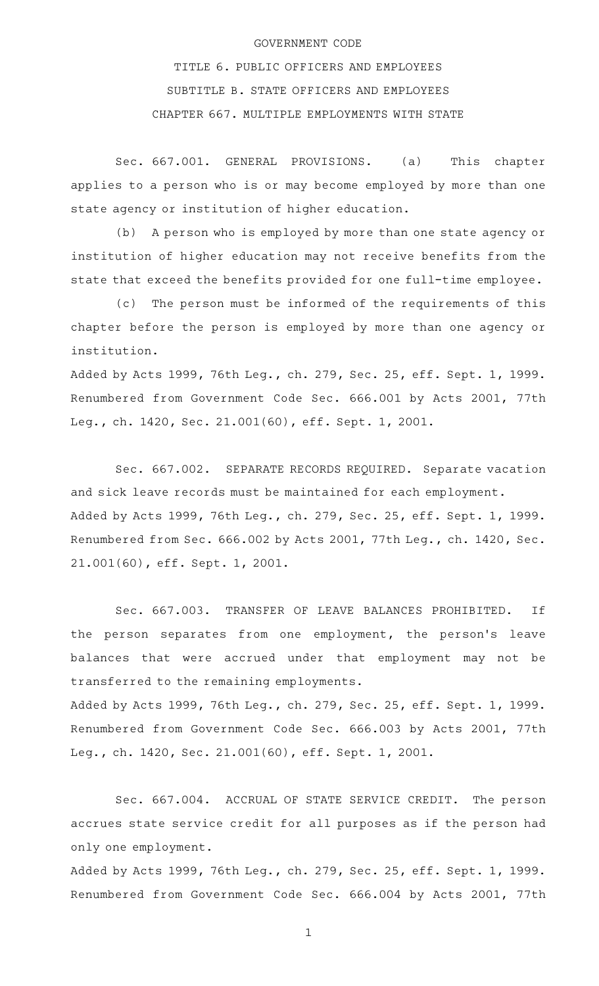## GOVERNMENT CODE

TITLE 6. PUBLIC OFFICERS AND EMPLOYEES SUBTITLE B. STATE OFFICERS AND EMPLOYEES CHAPTER 667. MULTIPLE EMPLOYMENTS WITH STATE

Sec. 667.001. GENERAL PROVISIONS. (a) This chapter applies to a person who is or may become employed by more than one state agency or institution of higher education.

(b) A person who is employed by more than one state agency or institution of higher education may not receive benefits from the state that exceed the benefits provided for one full-time employee.

(c) The person must be informed of the requirements of this chapter before the person is employed by more than one agency or institution.

Added by Acts 1999, 76th Leg., ch. 279, Sec. 25, eff. Sept. 1, 1999. Renumbered from Government Code Sec. 666.001 by Acts 2001, 77th Leg., ch. 1420, Sec. 21.001(60), eff. Sept. 1, 2001.

Sec. 667.002. SEPARATE RECORDS REQUIRED. Separate vacation and sick leave records must be maintained for each employment. Added by Acts 1999, 76th Leg., ch. 279, Sec. 25, eff. Sept. 1, 1999. Renumbered from Sec. 666.002 by Acts 2001, 77th Leg., ch. 1420, Sec. 21.001(60), eff. Sept. 1, 2001.

Sec. 667.003. TRANSFER OF LEAVE BALANCES PROHIBITED. If the person separates from one employment, the person's leave balances that were accrued under that employment may not be transferred to the remaining employments. Added by Acts 1999, 76th Leg., ch. 279, Sec. 25, eff. Sept. 1, 1999.

Renumbered from Government Code Sec. 666.003 by Acts 2001, 77th Leg., ch. 1420, Sec. 21.001(60), eff. Sept. 1, 2001.

Sec. 667.004. ACCRUAL OF STATE SERVICE CREDIT. The person accrues state service credit for all purposes as if the person had only one employment.

Added by Acts 1999, 76th Leg., ch. 279, Sec. 25, eff. Sept. 1, 1999. Renumbered from Government Code Sec. 666.004 by Acts 2001, 77th

1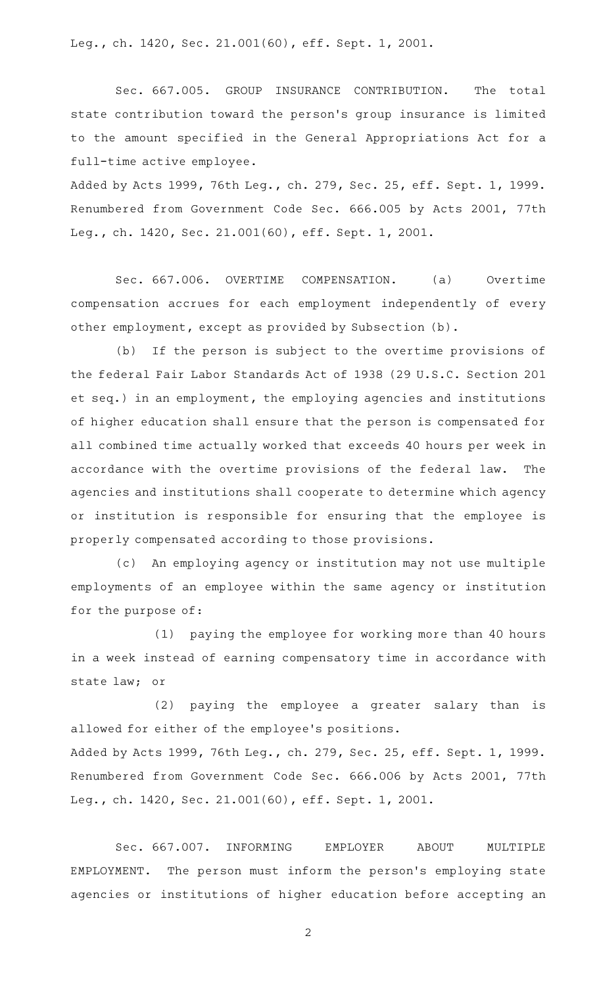Leg., ch. 1420, Sec. 21.001(60), eff. Sept. 1, 2001.

Sec. 667.005. GROUP INSURANCE CONTRIBUTION. The total state contribution toward the person's group insurance is limited to the amount specified in the General Appropriations Act for a full-time active employee.

Added by Acts 1999, 76th Leg., ch. 279, Sec. 25, eff. Sept. 1, 1999. Renumbered from Government Code Sec. 666.005 by Acts 2001, 77th Leg., ch. 1420, Sec. 21.001(60), eff. Sept. 1, 2001.

Sec. 667.006. OVERTIME COMPENSATION. (a) Overtime compensation accrues for each employment independently of every other employment, except as provided by Subsection (b).

(b) If the person is subject to the overtime provisions of the federal Fair Labor Standards Act of 1938 (29 U.S.C. Section 201 et seq.) in an employment, the employing agencies and institutions of higher education shall ensure that the person is compensated for all combined time actually worked that exceeds 40 hours per week in accordance with the overtime provisions of the federal law. The agencies and institutions shall cooperate to determine which agency or institution is responsible for ensuring that the employee is properly compensated according to those provisions.

(c) An employing agency or institution may not use multiple employments of an employee within the same agency or institution for the purpose of:

(1) paying the employee for working more than 40 hours in a week instead of earning compensatory time in accordance with state law; or

(2) paying the employee a greater salary than is allowed for either of the employee 's positions. Added by Acts 1999, 76th Leg., ch. 279, Sec. 25, eff. Sept. 1, 1999. Renumbered from Government Code Sec. 666.006 by Acts 2001, 77th

Leg., ch. 1420, Sec. 21.001(60), eff. Sept. 1, 2001.

Sec. 667.007. INFORMING EMPLOYER ABOUT MULTIPLE EMPLOYMENT. The person must inform the person 's employing state agencies or institutions of higher education before accepting an

2